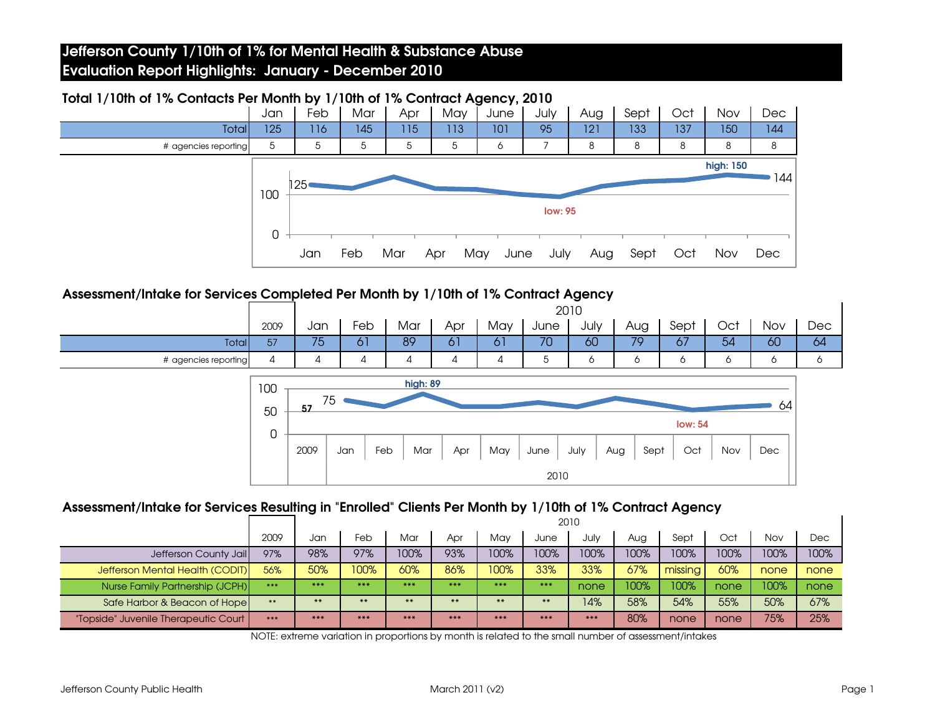|                      | Jan      | Feb                                                    | Mar | Apr | May | June        | July | Aug | Sept | Oct | Nov | <b>Dec</b> |
|----------------------|----------|--------------------------------------------------------|-----|-----|-----|-------------|------|-----|------|-----|-----|------------|
| <b>Total</b>         | 125      | 116                                                    | 145 | 115 | 113 | 101         | 95   | 121 | 133  | 137 | 150 | 144        |
| # agencies reporting | 5        | 5                                                      | 5   | 5   | 5   | 6           |      | 8   | 8    | 8   | 8   | 8          |
|                      | 100<br>0 | high: 150<br>144<br>125 <sub>0</sub><br><b>low: 95</b> |     |     |     |             |      |     |      |     |     |            |
|                      |          | Jan                                                    | Feb | Mar | Apr | May<br>June | July | Aug | Sept | Oct | Nov | <b>Dec</b> |

## Total 1/10th of 1% Contacts Per Month by 1/10th of 1% Contract Agency, 2010

#### Assessment/Intake for Services Completed Per Month by 1/10th of 1% Contract Agency

|                      |      |     | 2010 |     |     |         |      |      |     |      |     |     |     |
|----------------------|------|-----|------|-----|-----|---------|------|------|-----|------|-----|-----|-----|
|                      | 2009 | Jan | Feb  | Mar | Apr | May     | June | July | Aug | Sept | Oct | Nov | Dec |
| <b>Total</b>         | 57   | 75  | O.   | 89  | Ο Ι | $\circ$ | 70   | 60   | 70  | 67   | 54  | 60  | 64  |
| # agencies reporting |      |     | 4    |     | ↵   |         | J    |      |     |      | ີ   |     | ັ   |



# Assessment/Intake for Services Resulting in "Enrolled" Clients Per Month by 1/10th of 1% Contract Agency 2010

|                                      |           |         | ZUIU    |         |       |         |       |       |      |          |      |      |      |
|--------------------------------------|-----------|---------|---------|---------|-------|---------|-------|-------|------|----------|------|------|------|
|                                      | 2009      | Jan     | Feb     | Mar     | Apr   | Mav     | June  | July  | Aug  | Sept     | Oct  | Nov  | Dec  |
| Jefferson County Jail                | 97%       | 98%     | 97%     | 100%    | 93%   | 100%    | 100%  | 100%  | 100% | 100%     | 100% | 100% | 100% |
| Jefferson Mental Health (CODIT)      | 56%       | 50%     | 100%    | 60%     | 86%   | 100%    | 33%   | 33%   | 67%  | missinal | 60%  | none | none |
| Nurse Family Partnership (JCPH)      | $* * * *$ | $* * *$ | $* * *$ | $* * *$ | $***$ | $* * *$ | $***$ | none  | 100% | 100%     | none | 100% | none |
| Safe Harbor & Beacon of Hope         | **        | $***$   | $**$    | $***$   | $***$ | $**$    | $***$ | 14%   | 58%  | 54%      | 55%  | 50%  | 67%  |
| "Topside" Juvenile Therapeutic Court | ***       | $***$   | $***$   | $***$   | $***$ | $***$   | $***$ | $***$ | 80%  | none     | none | 75%  | 25%  |

NOTE: extreme variation in proportions by month is related to the small number of assessment/intakes

 $\mathbf{I}$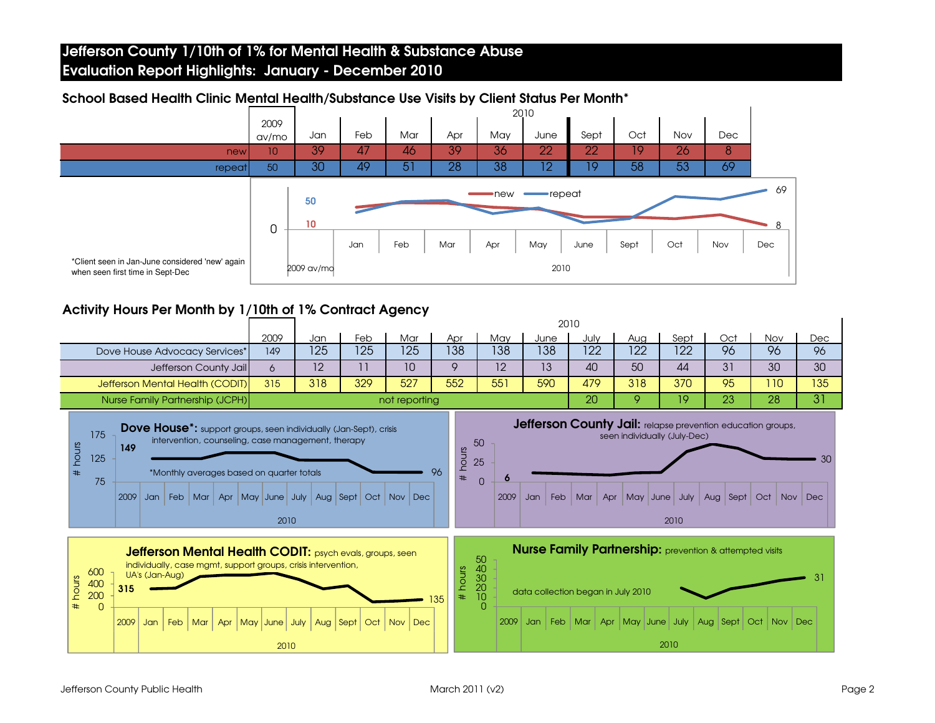

#### School Based Health Clinic Mental Health/Substance Use Visits by Client Status Per Month\*

## Activity Hours Per Month by 1/10th of 1% Contract Agency

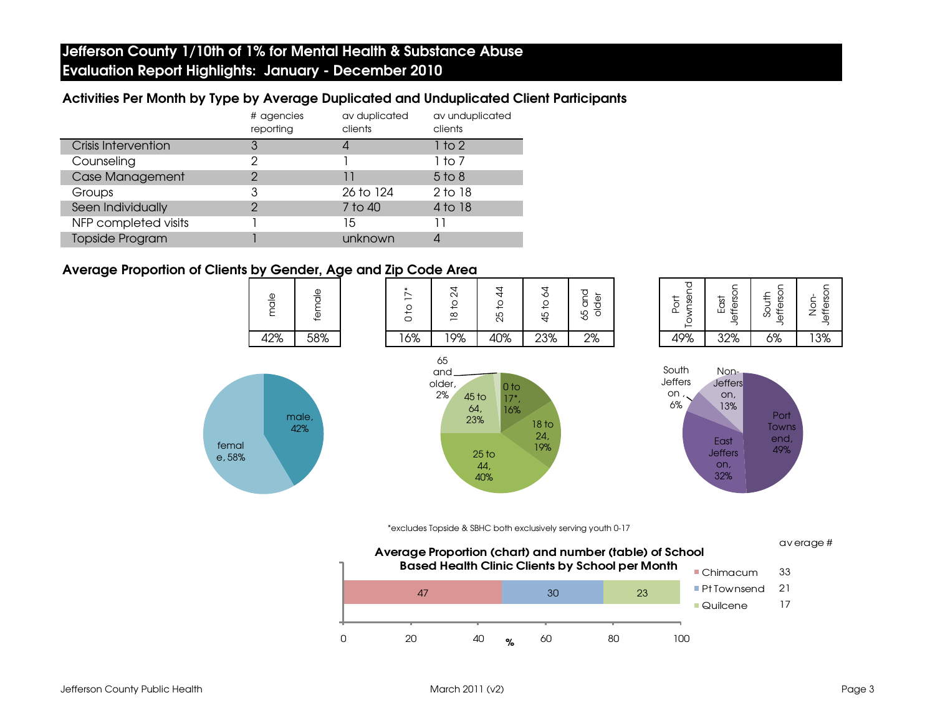#### Activities Per Month by Type by Average Duplicated and Unduplicated Client Participants

|                            | # agencies<br>reporting | av duplicated<br>clients | av unduplicated<br>clients |
|----------------------------|-------------------------|--------------------------|----------------------------|
| <b>Crisis Intervention</b> |                         |                          | 1 to 2                     |
| Counseling                 | 2                       |                          | 1 to 7                     |
| <b>Case Management</b>     | っ                       | 11                       | $5$ to $8$                 |
| Groups                     | 3                       | 26 to 124                | 2 to 18                    |
| Seen Individually          | ာ                       | 7 to 40                  | 4 to 18                    |
| NFP completed visits       |                         | 15                       |                            |
| <b>Topside Program</b>     |                         | unknown                  |                            |

#### Average Proportion of Clients by Gender, Age and Zip Code Area

male



| lownsend    | Jefferson | Jefferson | Jefferson |
|-------------|-----------|-----------|-----------|
| <b>Port</b> | East      | South     | Non-      |
| 19%         | 32%       | 5%        |           |







\*excludes Topside & SBHC both exclusively serving youth 0-17



Jefferson County Public Health